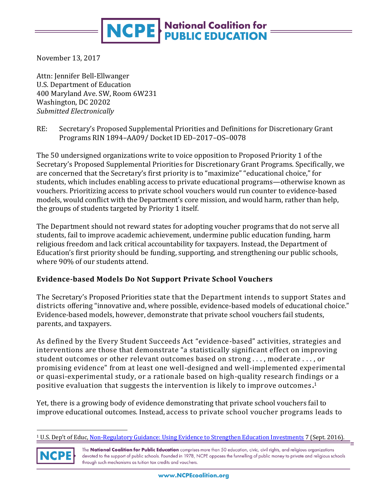# NCPE National Coalition for

November 13, 2017

Attn: Jennifer Bell-Ellwanger U.S. Department of Education 400 Maryland Ave. SW, Room 6W231 Washington, DC 20202 *Submitted Electronically* 

RE: Secretary's Proposed Supplemental Priorities and Definitions for Discretionary Grant Programs RIN 1894–AA09/ Docket ID ED–2017–OS–0078

The 50 undersigned organizations write to voice opposition to Proposed Priority 1 of the Secretary's Proposed Supplemental Priorities for Discretionary Grant Programs. Specifically, we are concerned that the Secretary's first priority is to "maximize" "educational choice," for students, which includes enabling access to private educational programs—otherwise known as vouchers. Prioritizing access to private school vouchers would run counter to evidence-based models, would conflict with the Department's core mission, and would harm, rather than help, the groups of students targeted by Priority 1 itself.

The Department should not reward states for adopting voucher programs that do not serve all students, fail to improve academic achievement, undermine public education funding, harm religious freedom and lack critical accountability for taxpayers. Instead, the Department of Education's first priority should be funding, supporting, and strengthening our public schools, where 90% of our students attend.

## **Evidence-based Models Do Not Support Private School Vouchers**

The Secretary's Proposed Priorities state that the Department intends to support States and districts offering "innovative and, where possible, evidence-based models of educational choice." Evidence-based models, however, demonstrate that private school vouchers fail students, parents, and taxpayers.

As defined by the Every Student Succeeds Act "evidence-based" activities, strategies and interventions are those that demonstrate "a statistically significant effect on improving student outcomes or other relevant outcomes based on strong . . . , moderate . . . , or promising evidence" from at least one well-designed and well-implemented experimental or quasi-experimental study, or a rationale based on high-quality research findings or a positive evaluation that suggests the intervention is likely to improve outcomes **.** 1

Yet, there is a growing body of evidence demonstrating that private school vouchers fail to improve educational outcomes. Instead, access to private school voucher programs leads to

<sup>&</sup>lt;sup>1</sup> U.S. Dep't of Educ, [Non-Regulatory Guidance: Using Evidence to Strengthen Education Investments](https://www2.ed.gov/policy/elsec/leg/essa/guidanceuseseinvestment.pdf) 7 (Sept. 2016).



 $\overline{\phantom{a}}$ 

The National Coalition for Public Education comprises more than 50 education, civic, civil rights, and religious organizations devoted to the support of public schools. Founded in 1978, NCPE opposes the funnelling of public money to private and religious schools through such mechanisms as tuition tax credits and vouchers.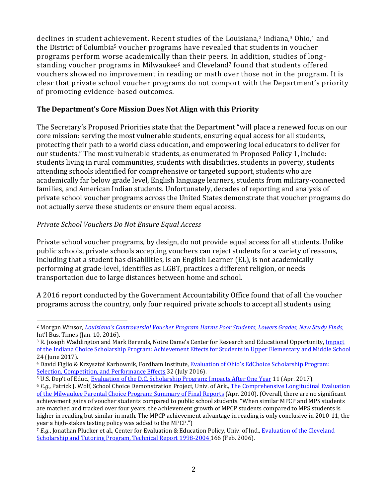declines in student achievement. Recent studies of the Louisiana, <sup>2</sup> Indiana, <sup>3</sup> Ohio, <sup>4</sup> and the District of Columbia<sup>5</sup> voucher programs have revealed that students in voucher programs perform worse academically than their peers. In addition, studies of longstanding voucher programs in Milwaukee<sup>6</sup> and Cleveland<sup>7</sup> found that students offered vouchers showed no improvement in reading or math over those not in the program. It is clear that private school voucher programs do not comport with the Department's priority of promoting evidence-based outcomes.

## **The Department's Core Mission Does Not Align with this Priority**

The Secretary's Proposed Priorities state that the Department "will place a renewed focus on our core mission: serving the most vulnerable students, ensuring equal access for all students, protecting their path to a world class education, and empowering local educators to deliver for our students." The most vulnerable students, as enumerated in Proposed Policy 1, include: students living in rural communities, students with disabilities, students in poverty, students attending schools identified for comprehensive or targeted support, students who are academically far below grade level, English language learners, students from military-connected families, and American Indian students. Unfortunately, decades of reporting and analysis of private school voucher programs across the United States demonstrate that voucher programs do not actually serve these students or ensure them equal access.

## *Private School Vouchers Do Not Ensure Equal Access*

l

Private school voucher programs, by design, do not provide equal access for all students. Unlike public schools, private schools accepting vouchers can reject students for a variety of reasons, including that a student has disabilities, is an English Learner (EL), is not academically performing at grade-level, identifies as LGBT, practices a different religion, or needs transportation due to large distances between home and school.

A 2016 report conducted by the Government Accountability Office found that of all the voucher programs across the country, only four required private schools to accept all students using

<sup>2</sup> Morgan Winsor, *[Louisiana's Controversial Voucher Program Harms Poor Students, Lowers Grades, New Study Finds](http://www.ibtimes.com/louisianas-controversial-voucher-program-harms-poor-students-lowers-grades-new-study-2258417)*, Int'l Bus. Times (Jan. 10, 2016).

<sup>&</sup>lt;sup>3</sup> R. Joseph Waddington and Mark Berends, Notre Dame's Center for Research and Educational Opportunity, Impact [of the Indiana Choice Scholarship Program: Achievement Effects for Students in Upper Elementary and Middle School](http://creo.nd.edu/images/people/Waddington__Berends_Indiana_Voucher_Impacts_06.24.17.pdf) 24 (June 2017).

<sup>4</sup> David Figlio & Krzysztof Karbownik, Fordham Institute, [Evaluation of Ohio's EdChoice Scholarship Program:](https://edex.s3-us-west-2.amazonaws.com/publication/pdfs/FORDHAM%20Ed%20Choice%20Evaluation%20Report_online%20edition.pdf)  [Selection, Competition, and Performance Effects](https://edex.s3-us-west-2.amazonaws.com/publication/pdfs/FORDHAM%20Ed%20Choice%20Evaluation%20Report_online%20edition.pdf) 32 (July 2016).

<sup>5</sup> U.S. Dep't of Educ., [Evaluation of the D.C. Scholarship Program: Impacts After One Year](https://ies.ed.gov/ncee/pubs/20174022/pdf/20174022.pdf) 11 (Apr. 2017).

<sup>6</sup> *E.g.,* Patrick J. Wolf, School Choice Demonstration Project, Univ. of Ark., [The Comprehensive Longitudinal Evaluation](http://www.uaedreform.org/downloads/2012/02/report-36-the-comprehensive-longitudinal-evaluation-of-the-milwaukee-parental-choice-program.pdf)  [of the Milwaukee Parental Choice Program: Summary of Final Reports](http://www.uaedreform.org/downloads/2012/02/report-36-the-comprehensive-longitudinal-evaluation-of-the-milwaukee-parental-choice-program.pdf) (Apr. 2010). (Overall, there are no significant achievement gains of voucher students compared to public school students. "When similar MPCP and MPS students are matched and tracked over four years, the achievement growth of MPCP students compared to MPS students is higher in reading but similar in math. The MPCP achievement advantage in reading is only conclusive in 2010-11, the year a high-stakes testing policy was added to the MPCP.")

<sup>7</sup> *E.g.*, Jonathan Plucker et al., Center for Evaluation & Education Policy, Univ. of Ind.[, Evaluation of the Cleveland](http://schottfoundation.org/resources/evaluation-cleveland-scholarship-and-tutoring-program-technical-report-1998-2004)  [Scholarship and Tutoring Program, Technical Report 1998-2004](http://schottfoundation.org/resources/evaluation-cleveland-scholarship-and-tutoring-program-technical-report-1998-2004) 166 (Feb. 2006).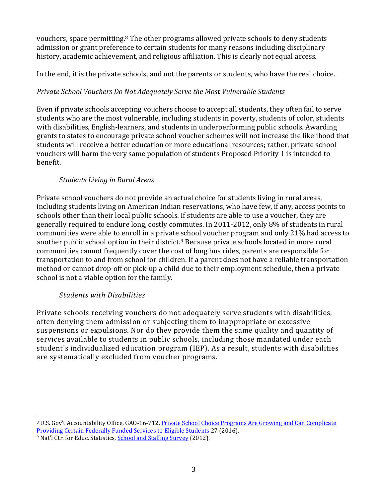vouchers, space permitting.<sup>8</sup> The other programs allowed private schools to deny students admission or grant preference to certain students for many reasons including disciplinary history, academic achievement, and religious affiliation. This is clearly not equal access.

In the end, it is the private schools, and not the parents or students, who have the real choice.

# *Private School Vouchers Do Not Adequately Serve the Most Vulnerable Students*

Even if private schools accepting vouchers choose to accept all students, they often fail to serve students who are the most vulnerable, including students in poverty, students of color, students with disabilities, English-learners, and students in underperforming public schools. Awarding grants to states to encourage private school voucher schemes will not increase the likelihood that students will receive a better education or more educational resources; rather, private school vouchers will harm the very same population of students Proposed Priority 1 is intended to benefit.

# *Students Living in Rural Areas*

Private school vouchers do not provide an actual choice for students living in rural areas, including students living on American Indian reservations, who have few, if any, access points to schools other than their local public schools. If students are able to use a voucher, they are generally required to endure long, costly commutes. In 2011-2012, only 8% of students in rural communities were able to enroll in a private school voucher program and only 21% had access to another public school option in their district.<sup>9</sup> Because private schools located in more rural communities cannot frequently cover the cost of long bus rides, parents are responsible for transportation to and from school for children. If a parent does not have a reliable transportation method or cannot drop-off or pick-up a child due to their employment schedule, then a private school is not a viable option for the family.

# *Students with Disabilities*

 $\overline{\phantom{a}}$ 

Private schools receiving vouchers do not adequately serve students with disabilities, often denying them admission or subjecting them to inappropriate or excessive suspensions or expulsions. Nor do they provide them the same quality and quantity of services available to students in public schools, including those mandated under each student's individualized education program (IEP). As a result, students with disabilities are systematically excluded from voucher programs.

<sup>8</sup> U.S. Gov't Accountability Office, GAO-16-712[, Private School Choice Programs Are Growing and Can Complicate](http://www.gao.gov/products/GAO-16-712)  [Providing Certain Federally Funded Services to Eligible Students](http://www.gao.gov/products/GAO-16-712) 27 (2016).

<sup>9</sup> Nat'l Ctr. for Educ. Statistics, [School and Staffing Survey](https://nces.ed.gov/pubs2013/2013311.pdf) (2012).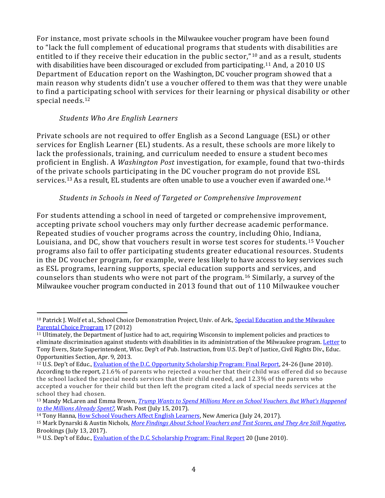For instance, most private schools in the Milwaukee voucher program have been found to "lack the full complement of educational programs that students with disabilities are entitled to if they receive their education in the public sector,"<sup>10</sup> and as a result, students with disabilities have been discouraged or excluded from participating.<sup>11</sup> And, a 2010 US Department of Education report on the Washington, DC voucher program showed that a main reason why students didn't use a voucher offered to them was that they were unable to find a participating school with services for their learning or physi cal disability or other special needs.<sup>12</sup>

#### *Students Who Are English Learners*

Private schools are not required to offer English as a Second Language (ESL) or other services for English Learner (EL) students. As a result, these schools are more likely to lack the professionals, training, and curriculum needed to ensure a student becomes proficient in English. A *Washington Post* investigation, for example, found that two-thirds of the private schools participating in the DC voucher program do not provide ESL services.<sup>13</sup> As a result, EL students are often unable to use a voucher even if awarded one.<sup>14</sup>

#### *Students in Schools in Need of Targeted or Comprehensive Improvement*

For students attending a school in need of targeted or comprehensive improvement, accepting private school vouchers may only further decrease academic performance. Repeated studies of voucher programs across the country, including Ohio, Indiana, Louisiana, and DC, show that vouchers result in worse test scores for students. <sup>15</sup> Voucher programs also fail to offer participating students greater educational resources. Students in the DC voucher program, for example, were less likely to have access to key services such as ESL programs, learning supports, special education supports and services, and counselors than students who were not part of the program.<sup>16</sup> Similarly, a survey of the Milwaukee voucher program conducted in 2013 found that out of 110 Milwaukee voucher

 $\overline{a}$ <sup>10</sup> Patrick J. Wolf et al., School Choice Demonstration Project, Univ. of Ark., Special Education and the Milwaukee [Parental Choice Program](http://files.eric.ed.gov/fulltext/ED530070.pdf) 17 (2012)

<sup>11</sup> Ultimately, the Department of Justice had to act, requiring Wisconsin to implement policies and practices to eliminate discrimination against students with disabilities in its administration of the Milwaukee program. [Letter](https://www.aclu.org/files/assets/04_09_13_letter_to_wisconsin_dpi_0.pdf) to Tony Evers, State Superintendent, Wisc. Dep't of Pub. Instruction, from U.S. Dep't of Justice, Civil Rights Div., Educ. Opportunities Section, Apr. 9, 2013.

<sup>12</sup> U.S. Dep't of Educ., [Evaluation of the D.C. Opportunity Scholarship Program: Final Report,](http://ies.ed.gov/ncee/pubs/20104018/pdf/20104018.pdf) 24-26 (June 2010). According to the report, 21.6% of parents who rejected a voucher that their child was offered did so because the school lacked the special needs services that their child needed, and 12.3% of the parents who accepted a voucher for their child but then left the program cited a lack of special needs services at the school they had chosen.

<sup>13</sup> Mandy McLaren and Emma Brown, *[Trump Wants to Spend Millions More on School Vouchers. But What's Happened](https://www.washingtonpost.com/local/education/trump-wants-to-spend-millions-more-on-school-vouchers-but-whats-happened-to-the-millions-already-spent/2017/07/15/ab6002a8-6267-11e7-84a1-a26b75ad39fe_story.html?hpid=hp_local-news_dcvouchers-545%3Ahomepage%2Fstory&utm_term=.0e4cd5c046a7)  [to the Millions Already Spent?,](https://www.washingtonpost.com/local/education/trump-wants-to-spend-millions-more-on-school-vouchers-but-whats-happened-to-the-millions-already-spent/2017/07/15/ab6002a8-6267-11e7-84a1-a26b75ad39fe_story.html?hpid=hp_local-news_dcvouchers-545%3Ahomepage%2Fstory&utm_term=.0e4cd5c046a7)* Wash. Post (July 15, 2017).

<sup>&</sup>lt;sup>14</sup> Tony Hanna, *How School Vouchers Affect English Learners*, New America (July 24, 2017).

<sup>15</sup> Mark Dynarski & Austin Nichols, *[More Findings About School Vouchers and Test Scores, and They Are Still Negative](https://www.brookings.edu/research/more-findings-about-school-vouchers-and-test-scores-and-they-are-still-negative/)*, Brookings (July 13, 2017).

<sup>16</sup> U.S. Dep't of Educ., [Evaluation of the D.C. Scholarship Program: Final Report](http://ies.ed.gov/ncee/pubs/20104018/pdf/20104018.pdf) 20 (June 2010).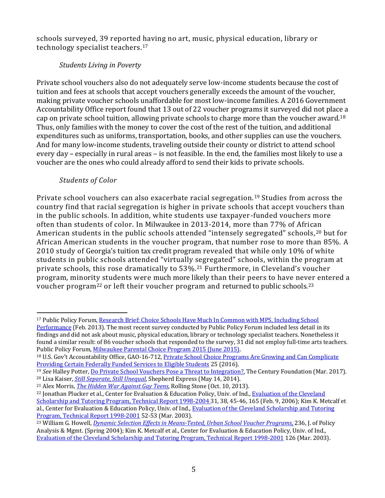schools surveyed, 39 reported having no art, music, physical education, library or technology specialist teachers.<sup>17</sup>

## *Students Living in Poverty*

Private school vouchers also do not adequately serve low-income students because the cost of tuition and fees at schools that accept vouchers generally exceeds the amount of the voucher, making private voucher schools unaffordable for most low-income families. A 2016 Government Accountability Office report found that 13 out of 22 voucher programs it surveyed did not place a cap on private school tuition, allowing private schools to charge more than the voucher award.<sup>18</sup> Thus, only families with the money to cover the cost of the rest of the tuition, and additional expenditures such as uniforms, transportation, books, and other supplies can use the vouchers. And for many low-income students, traveling outside their county or district to attend school every day – especially in rural areas – is not feasible. In the end, the families most likely to use a voucher are the ones who could already afford to send their kids to private schools.

## *Students of Color*

 $\overline{a}$ 

Private school vouchers can also exacerbate racial segregation.<sup>19</sup> Studies from across the country find that racial segregation is higher in private schools that accept vouchers than in the public schools. In addition, white students use taxpayer-funded vouchers more often than students of color. In Milwaukee in 2013-2014, more than 77% of African American students in the public schools attended "intensely segregated" schools, <sup>20</sup> but for African American students in the voucher program, that number rose to more than 85%. A 2010 study of Georgia's tuition tax credit program revealed that while only 10% of white students in public schools attended "virtually segregated" schools, within the program at private schools, this rose dramatically to 53%.<sup>21</sup> Furthermore, in Cleveland's voucher program, minority students were much more likely than their peers to have never entered a voucher program<sup>22</sup> or left their voucher program and returned to public schools.<sup>23</sup>

<sup>20</sup> Lisa Kaiser, *[Still Separate, Still Unequal](http://shepherdexpress.com/article-23283-still-separate-still-unequal-news-shepherd-express.html)*, Shepherd Express (May 14, 2014).

<sup>&</sup>lt;sup>17</sup> Public Policy Forum, Research Brief: Choice Schools Have Much In Common with MPS, Including School [Performance](http://publicpolicyforum.org/sites/default/files/2013VoucherBrief-Clarified_1.pdf) (Feb. 2013). The most recent survey conducted by Public Policy Forum included less detail in its findings and did not ask about music, physical education, library or technology specialist teachers. Nonetheless it found a similar result: of 86 voucher schools that responded to the survey, 31 did not employ full-time arts teachers. Public Policy Forum[, Milwaukee Parental Choice Program 2015](http://www.publicpolicyforum.org/research/milwaukee-parental-choice-program-2015) (June 2015).

<sup>18</sup> U.S. Gov't Accountability Office, GAO-16-712[, Private School Choice Programs Are Growing and Can Complicate](http://www.gao.gov/products/GAO-16-712)  [Providing Certain Federally Funded Services to Eligible Students](http://www.gao.gov/products/GAO-16-712) 25 (2016).

<sup>19</sup> *See* Halley Potter[, Do Private School Vouchers Pose a Threat to Integration?,](https://tcf.org/content/report/private-school-vouchers-pose-threat-integration/) The Century Foundation (Mar. 2017).

<sup>21</sup> Alex Morris, *[The Hidden War Against Gay Teens](http://www.rollingstone.com/culture/news/the-hidden-war-against-gay-teens-20131010)*, Rolling Stone (Oct. 10, 2013).

<sup>22</sup> Jonathan Plucker et al., Center for Evaluation & Education Policy, Univ. of Ind., [Evaluation of the Cleveland](http://schottfoundation.org/resources/evaluation-cleveland-scholarship-and-tutoring-program-technical-report-1998-2004)  [Scholarship and Tutoring Program, Technical Report 1998-2004 3](http://schottfoundation.org/resources/evaluation-cleveland-scholarship-and-tutoring-program-technical-report-1998-2004)1, 38, 45-46, 165 (Feb. 9, 2006); Kim K. Metcalf et al., Center for Evaluation & Education Policy, Univ. of Ind., [Evaluation of the Cleveland Scholarship and Tutoring](http://eric.ed.gov/?id=ED479162)  [Program, Technical Report 1998-2001](http://eric.ed.gov/?id=ED479162) 52-53 (Mar. 2003).

<sup>23</sup> William G. Howell, *[Dynamic Selection Effects in Means-Tested, Urban School Voucher Programs](http://onlinelibrary.wiley.com/doi/10.1002/pam.20002/abstract)*, 236, J. of Policy Analysis & Mgmt. (Spring 2004); Kim K. Metcalf et al., Center for Evaluation & Education Policy, Univ. of Ind., [Evaluation of the Cleveland Scholarship and Tutoring Program, Technical Report 1998-2001](http://eric.ed.gov/?id=ED479162) 126 (Mar. 2003).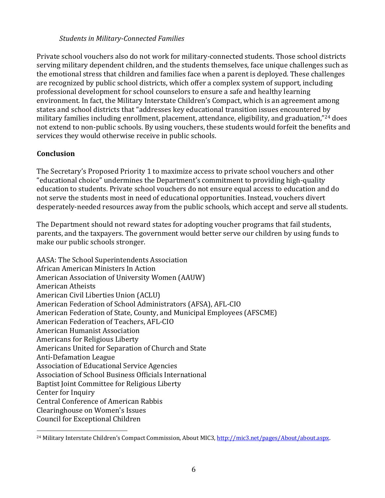#### *Students in Military-Connected Families*

Private school vouchers also do not work for military-connected students. Those school districts serving military dependent children, and the students themselves, face unique challenges such as the emotional stress that children and families face when a parent is deployed. These challenges are recognized by public school districts, which offer a complex system of support, including professional development for school counselors to ensure a safe and healthy learning environment. In fact, the Military Interstate Children's Compact, which is an agreement among states and school districts that "addresses key educational transition issues encountered by military families including enrollment, placement, attendance, eligibility, and graduation,"<sup>24</sup> does not extend to non-public schools. By using vouchers, these students would forfeit the benefits and services they would otherwise receive in public schools.

## **Conclusion**

The Secretary's Proposed Priority 1 to maximize access to private school vouchers and other "educational choice" undermines the Department's commitment to providing high-quality education to students. Private school vouchers do not ensure equal access to education and do not serve the students most in need of educational opportunities. Instead, vouchers divert desperately-needed resources away from the public schools, which accept and serve all students.

The Department should not reward states for adopting voucher programs that fail students, parents, and the taxpayers. The government would better serve our children by using funds to make our public schools stronger.

AASA: The School Superintendents Association African American Ministers In Action American Association of University Women (AAUW) American Atheists American Civil Liberties Union (ACLU) American Federation of School Administrators (AFSA), AFL-CIO American Federation of State, County, and Municipal Employees (AFSCME) American Federation of Teachers, AFL-CIO American Humanist Association Americans for Religious Liberty Americans United for Separation of Church and State Anti-Defamation League Association of Educational Service Agencies Association of School Business Officials International Baptist Joint Committee for Religious Liberty Center for Inquiry Central Conference of American Rabbis Clearinghouse on Women's Issues Council for Exceptional Children

l <sup>24</sup> Military Interstate Children's Compact Commission, About MIC3, [http://mic3.net/pages/About/about.aspx.](http://mic3.net/pages/About/about.aspx)